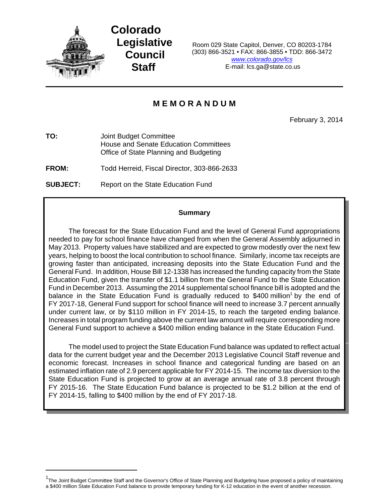

**Colorado Legislative Council Staff**

Room 029 State Capitol, Denver, CO 80203-1784 (303) 866-3521 • FAX: 866-3855 • TDD: 866-3472 *www.colorado.gov/lcs* E-mail: lcs.ga@state.co.us

# **M E M O R A N D U M**

February 3, 2014

**TO:** Joint Budget Committee House and Senate Education Committees Office of State Planning and Budgeting

**FROM:** Todd Herreid, Fiscal Director, 303-866-2633

**SUBJECT:** Report on the State Education Fund

### **Summary**

The forecast for the State Education Fund and the level of General Fund appropriations needed to pay for school finance have changed from when the General Assembly adjourned in May 2013. Property values have stabilized and are expected to grow modestly over the next few years, helping to boost the local contribution to school finance. Similarly, income tax receipts are growing faster than anticipated, increasing deposits into the State Education Fund and the General Fund. In addition, House Bill 12-1338 has increased the funding capacity from the State Education Fund, given the transfer of \$1.1 billion from the General Fund to the State Education Fund in December 2013. Assuming the 2014 supplemental school finance bill is adopted and the balance in the State Education Fund is gradually reduced to \$400 million<sup>1</sup> by the end of FY 2017-18, General Fund support for school finance will need to increase 3.7 percent annually under current law, or by \$110 million in FY 2014-15, to reach the targeted ending balance. Increases in total program funding above the current law amount will require corresponding more General Fund support to achieve a \$400 million ending balance in the State Education Fund.

The model used to project the State Education Fund balance was updated to reflect actual data for the current budget year and the December 2013 Legislative Council Staff revenue and economic forecast. Increases in school finance and categorical funding are based on an estimated inflation rate of 2.9 percent applicable for FY 2014-15. The income tax diversion to the State Education Fund is projected to grow at an average annual rate of 3.8 percent through FY 2015-16. The State Education Fund balance is projected to be \$1.2 billion at the end of FY 2014-15, falling to \$400 million by the end of FY 2017-18.

<sup>&</sup>lt;sup>1</sup>The Joint Budget Committee Staff and the Governor's Office of State Planning and Budgeting have proposed a policy of maintaining a \$400 million State Education Fund balance to provide temporary funding for K-12 education in the event of another recession.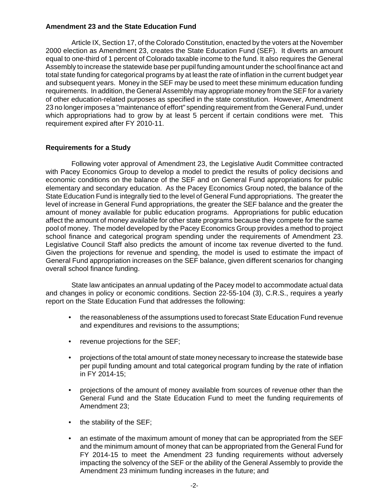## **Amendment 23 and the State Education Fund**

Article IX, Section 17, of the Colorado Constitution, enacted by the voters at the November 2000 election as Amendment 23, creates the State Education Fund (SEF). It diverts an amount equal to one-third of 1 percent of Colorado taxable income to the fund. It also requires the General Assembly to increase the statewide base per pupil funding amount under the school finance act and total state funding for categorical programs by at least the rate of inflation in the current budget year and subsequent years. Money in the SEF may be used to meet these minimum education funding requirements. In addition, the General Assembly may appropriate money from the SEF for a variety of other education-related purposes as specified in the state constitution. However, Amendment 23 no longer imposes a "maintenance of effort" spending requirement from the General Fund, under which appropriations had to grow by at least 5 percent if certain conditions were met. This requirement expired after FY 2010-11.

### **Requirements for a Study**

Following voter approval of Amendment 23, the Legislative Audit Committee contracted with Pacey Economics Group to develop a model to predict the results of policy decisions and economic conditions on the balance of the SEF and on General Fund appropriations for public elementary and secondary education. As the Pacey Economics Group noted, the balance of the State Education Fund is integrally tied to the level of General Fund appropriations. The greater the level of increase in General Fund appropriations, the greater the SEF balance and the greater the amount of money available for public education programs. Appropriations for public education affect the amount of money available for other state programs because they compete for the same pool of money. The model developed by the Pacey Economics Group provides a method to project school finance and categorical program spending under the requirements of Amendment 23. Legislative Council Staff also predicts the amount of income tax revenue diverted to the fund. Given the projections for revenue and spending, the model is used to estimate the impact of General Fund appropriation increases on the SEF balance, given different scenarios for changing overall school finance funding.

State law anticipates an annual updating of the Pacey model to accommodate actual data and changes in policy or economic conditions. Section 22-55-104 (3), C.R.S., requires a yearly report on the State Education Fund that addresses the following:

- the reasonableness of the assumptions used to forecast State Education Fund revenue and expenditures and revisions to the assumptions;
- revenue projections for the SEF;
- projections of the total amount of state money necessary to increase the statewide base per pupil funding amount and total categorical program funding by the rate of inflation in FY 2014-15;
- projections of the amount of money available from sources of revenue other than the General Fund and the State Education Fund to meet the funding requirements of Amendment 23;
- the stability of the SEF;
- an estimate of the maximum amount of money that can be appropriated from the SEF and the minimum amount of money that can be appropriated from the General Fund for FY 2014-15 to meet the Amendment 23 funding requirements without adversely impacting the solvency of the SEF or the ability of the General Assembly to provide the Amendment 23 minimum funding increases in the future; and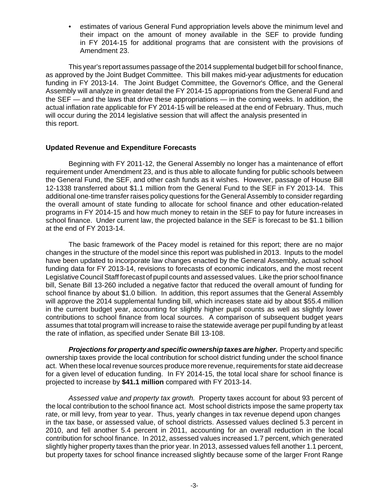• estimates of various General Fund appropriation levels above the minimum level and their impact on the amount of money available in the SEF to provide funding in FY 2014-15 for additional programs that are consistent with the provisions of Amendment 23.

This year's report assumes passage of the 2014 supplemental budget bill for school finance, as approved by the Joint Budget Committee. This bill makes mid-year adjustments for education funding in FY 2013-14. The Joint Budget Committee, the Governor's Office, and the General Assembly will analyze in greater detail the FY 2014-15 appropriations from the General Fund and the SEF — and the laws that drive these appropriations — in the coming weeks. In addition, the actual inflation rate applicable for FY 2014-15 will be released at the end of February. Thus, much will occur during the 2014 legislative session that will affect the analysis presented in this report.

### **Updated Revenue and Expenditure Forecasts**

Beginning with FY 2011-12, the General Assembly no longer has a maintenance of effort requirement under Amendment 23, and is thus able to allocate funding for public schools between the General Fund, the SEF, and other cash funds as it wishes. However, passage of House Bill 12-1338 transferred about \$1.1 million from the General Fund to the SEF in FY 2013-14. This additional one-time transfer raises policy questions for the General Assembly to consider regarding the overall amount of state funding to allocate for school finance and other education-related programs in FY 2014-15 and how much money to retain in the SEF to pay for future increases in school finance. Under current law, the projected balance in the SEF is forecast to be \$1.1 billion at the end of FY 2013-14.

The basic framework of the Pacey model is retained for this report; there are no major changes in the structure of the model since this report was published in 2013. Inputs to the model have been updated to incorporate law changes enacted by the General Assembly, actual school funding data for FY 2013-14, revisions to forecasts of economic indicators, and the most recent Legislative Council Staff forecast of pupil counts and assessed values. Like the prior school finance bill, Senate Bill 13-260 included a negative factor that reduced the overall amount of funding for school finance by about \$1.0 billion. In addition, this report assumes that the General Assembly will approve the 2014 supplemental funding bill, which increases state aid by about \$55.4 million in the current budget year, accounting for slightly higher pupil counts as well as slightly lower contributions to school finance from local sources. A comparison of subsequent budget years assumes that total program will increase to raise the statewide average per pupil funding by at least the rate of inflation, as specified under Senate Bill 13-108.

*Projections for property and specific ownership taxes are higher.* Property and specific ownership taxes provide the local contribution for school district funding under the school finance act. When these local revenue sources produce more revenue, requirements for state aid decrease for a given level of education funding. In FY 2014-15, the total local share for school finance is projected to increase by **\$41.1 million** compared with FY 2013-14.

*Assessed value and property tax growth.* Property taxes account for about 93 percent of the local contribution to the school finance act. Most school districts impose the same property tax rate, or mill levy, from year to year. Thus, yearly changes in tax revenue depend upon changes in the tax base, or assessed value, of school districts. Assessed values declined 5.3 percent in 2010, and fell another 5.4 percent in 2011, accounting for an overall reduction in the local contribution for school finance. In 2012, assessed values increased 1.7 percent, which generated slightly higher property taxes than the prior year. In 2013, assessed values fell another 1.1 percent, but property taxes for school finance increased slightly because some of the larger Front Range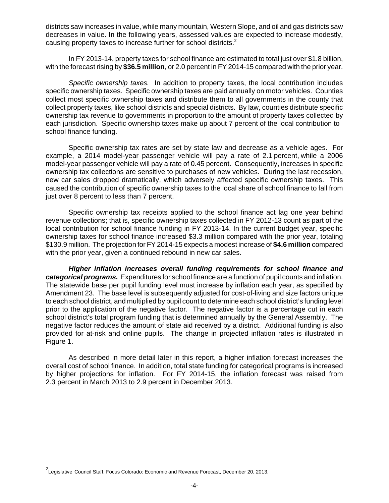districts saw increases in value, while many mountain, Western Slope, and oil and gas districts saw decreases in value. In the following years, assessed values are expected to increase modestly, causing property taxes to increase further for school districts.<sup>2</sup>

In FY 2013-14, property taxes for school finance are estimated to total just over \$1.8 billion, with the forecast rising by **\$36.5 million**, or 2.0 percent in FY 2014-15 compared with the prior year.

*Specific ownership taxes.* In addition to property taxes, the local contribution includes specific ownership taxes. Specific ownership taxes are paid annually on motor vehicles. Counties collect most specific ownership taxes and distribute them to all governments in the county that collect property taxes, like school districts and special districts. By law, counties distribute specific ownership tax revenue to governments in proportion to the amount of property taxes collected by each jurisdiction. Specific ownership taxes make up about 7 percent of the local contribution to school finance funding.

Specific ownership tax rates are set by state law and decrease as a vehicle ages. For example, a 2014 model-year passenger vehicle will pay a rate of 2.1 percent, while a 2006 model-year passenger vehicle will pay a rate of 0.45 percent. Consequently, increases in specific ownership tax collections are sensitive to purchases of new vehicles. During the last recession, new car sales dropped dramatically, which adversely affected specific ownership taxes. This caused the contribution of specific ownership taxes to the local share of school finance to fall from just over 8 percent to less than 7 percent.

Specific ownership tax receipts applied to the school finance act lag one year behind revenue collections; that is, specific ownership taxes collected in FY 2012-13 count as part of the local contribution for school finance funding in FY 2013-14. In the current budget year, specific ownership taxes for school finance increased \$3.3 million compared with the prior year, totaling \$130.9 million. The projection for FY 2014-15 expects a modest increase of **\$4.6 million** compared with the prior year, given a continued rebound in new car sales.

*Higher inflation increases overall funding requirements for school finance and categorical programs.* Expenditures for school finance are a function of pupil counts and inflation. The statewide base per pupil funding level must increase by inflation each year, as specified by Amendment 23. The base level is subsequently adjusted for cost-of-living and size factors unique to each school district, and multiplied by pupil count to determine each school district's funding level prior to the application of the negative factor. The negative factor is a percentage cut in each school district's total program funding that is determined annually by the General Assembly. The negative factor reduces the amount of state aid received by a district. Additional funding is also provided for at-risk and online pupils. The change in projected inflation rates is illustrated in Figure 1.

As described in more detail later in this report, a higher inflation forecast increases the overall cost of school finance. In addition, total state funding for categorical programs is increased by higher projections for inflation. For FY 2014-15, the inflation forecast was raised from 2.3 percent in March 2013 to 2.9 percent in December 2013.

<sup>&</sup>lt;sup>2</sup>Legislative Council Staff, Focus Colorado: Economic and Revenue Forecast, December 20, 2013.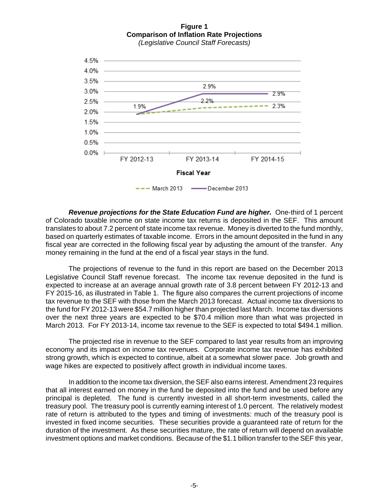**Figure 1 Comparison of Inflation Rate Projections** *(Legislative Council Staff Forecasts)*



**Revenue projections for the State Education Fund are higher.** One-third of 1 percent of Colorado taxable income on state income tax returns is deposited in the SEF. This amount translates to about 7.2 percent of state income tax revenue. Money is diverted to the fund monthly, based on quarterly estimates of taxable income. Errors in the amount deposited in the fund in any fiscal year are corrected in the following fiscal year by adjusting the amount of the transfer. Any money remaining in the fund at the end of a fiscal year stays in the fund.

The projections of revenue to the fund in this report are based on the December 2013 Legislative Council Staff revenue forecast. The income tax revenue deposited in the fund is expected to increase at an average annual growth rate of 3.8 percent between FY 2012-13 and FY 2015-16, as illustrated in Table 1. The figure also compares the current projections of income tax revenue to the SEF with those from the March 2013 forecast. Actual income tax diversions to the fund for FY 2012-13 were \$54.7 million higher than projected last March. Income tax diversions over the next three years are expected to be \$70.4 million more than what was projected in March 2013. For FY 2013-14, income tax revenue to the SEF is expected to total \$494.1 million.

The projected rise in revenue to the SEF compared to last year results from an improving economy and its impact on income tax revenues. Corporate income tax revenue has exhibited strong growth, which is expected to continue, albeit at a somewhat slower pace. Job growth and wage hikes are expected to positively affect growth in individual income taxes.

In addition to the income tax diversion, the SEF also earns interest. Amendment 23 requires that all interest earned on money in the fund be deposited into the fund and be used before any principal is depleted. The fund is currently invested in all short-term investments, called the treasury pool. The treasury pool is currently earning interest of 1.0 percent. The relatively modest rate of return is attributed to the types and timing of investments: much of the treasury pool is invested in fixed income securities. These securities provide a guaranteed rate of return for the duration of the investment. As these securities mature, the rate of return will depend on available investment options and market conditions. Because of the \$1.1 billion transfer to the SEF this year,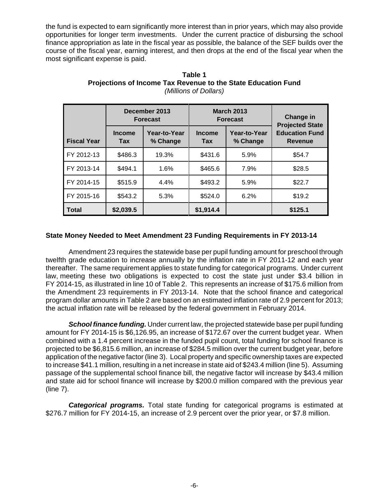the fund is expected to earn significantly more interest than in prior years, which may also provide opportunities for longer term investments. Under the current practice of disbursing the school finance appropriation as late in the fiscal year as possible, the balance of the SEF builds over the course of the fiscal year, earning interest, and then drops at the end of the fiscal year when the most significant expense is paid.

|                    |                                                         | December 2013<br><b>Forecast</b> |                             | <b>March 2013</b><br><b>Forecast</b> | <b>Change in</b><br><b>Projected State</b> |  |
|--------------------|---------------------------------------------------------|----------------------------------|-----------------------------|--------------------------------------|--------------------------------------------|--|
| <b>Fiscal Year</b> | Year-to-Year<br><b>Income</b><br>% Change<br><b>Tax</b> |                                  | <b>Income</b><br><b>Tax</b> | Year-to-Year<br>% Change             | <b>Education Fund</b><br>Revenue           |  |
| FY 2012-13         | \$486.3                                                 | 19.3%                            | \$431.6                     | 5.9%                                 | \$54.7                                     |  |
| FY 2013-14         | \$494.1                                                 | 1.6%                             | \$465.6                     | 7.9%                                 | \$28.5                                     |  |
| FY 2014-15         | \$515.9                                                 | 4.4%                             | \$493.2                     | 5.9%                                 | \$22.7                                     |  |
| FY 2015-16         | \$543.2                                                 | 5.3%                             | \$524.0                     | 6.2%                                 | \$19.2                                     |  |
| <b>Total</b>       | \$2,039.5                                               |                                  | \$1,914.4                   |                                      | \$125.1                                    |  |

### **Table 1 Projections of Income Tax Revenue to the State Education Fund** *(Millions of Dollars)*

## **State Money Needed to Meet Amendment 23 Funding Requirements in FY 2013-14**

Amendment 23 requires the statewide base per pupil funding amount for preschool through twelfth grade education to increase annually by the inflation rate in FY 2011-12 and each year thereafter. The same requirement applies to state funding for categorical programs. Under current law, meeting these two obligations is expected to cost the state just under \$3.4 billion in FY 2014-15, as illustrated in line 10 of Table 2. This represents an increase of \$175.6 million from the Amendment 23 requirements in FY 2013-14. Note that the school finance and categorical program dollar amounts in Table 2 are based on an estimated inflation rate of 2.9 percent for 2013; the actual inflation rate will be released by the federal government in February 2014.

*School finance funding.* Under current law, the projected statewide base per pupil funding amount for FY 2014-15 is \$6,126.95, an increase of \$172.67 over the current budget year. When combined with a 1.4 percent increase in the funded pupil count, total funding for school finance is projected to be \$6,815.6 million, an increase of \$284.5 million over the current budget year, before application of the negative factor (line 3). Local property and specific ownership taxes are expected to increase \$41.1 million, resulting in a net increase in state aid of \$243.4 million (line 5). Assuming passage of the supplemental school finance bill, the negative factor will increase by \$43.4 million and state aid for school finance will increase by \$200.0 million compared with the previous year (line 7).

*Categorical programs.* Total state funding for categorical programs is estimated at \$276.7 million for FY 2014-15, an increase of 2.9 percent over the prior year, or \$7.8 million.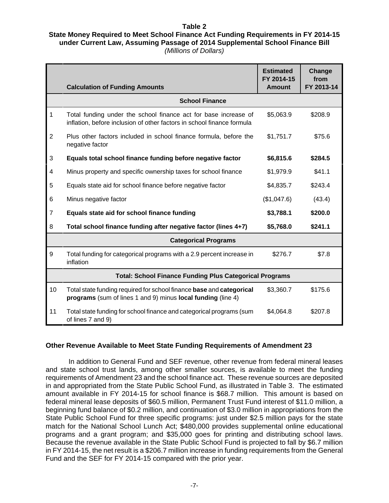### **Table 2 State Money Required to Meet School Finance Act Funding Requirements in FY 2014-15 under Current Law, Assuming Passage of 2014 Supplemental School Finance Bill** *(Millions of Dollars)*

|                | <b>Calculation of Funding Amounts</b>                                                                                                     | <b>Estimated</b><br>FY 2014-15<br><b>Amount</b> | Change<br>from<br>FY 2013-14 |
|----------------|-------------------------------------------------------------------------------------------------------------------------------------------|-------------------------------------------------|------------------------------|
|                | <b>School Finance</b>                                                                                                                     |                                                 |                              |
| 1              | Total funding under the school finance act for base increase of<br>inflation, before inclusion of other factors in school finance formula | \$5,063.9                                       | \$208.9                      |
| $\overline{2}$ | Plus other factors included in school finance formula, before the<br>negative factor                                                      | \$1,751.7                                       | \$75.6                       |
| $\mathbf{3}$   | Equals total school finance funding before negative factor                                                                                | \$6,815.6                                       | \$284.5                      |
| $\overline{4}$ | Minus property and specific ownership taxes for school finance                                                                            | \$1,979.9                                       | \$41.1                       |
| 5              | Equals state aid for school finance before negative factor                                                                                | \$4,835.7                                       | \$243.4                      |
| 6              | Minus negative factor                                                                                                                     | (\$1,047.6)                                     | (43.4)                       |
| $\overline{7}$ | Equals state aid for school finance funding                                                                                               | \$3,788.1                                       | \$200.0                      |
| 8              | Total school finance funding after negative factor (lines 4+7)                                                                            | \$5,768.0                                       | \$241.1                      |
|                | <b>Categorical Programs</b>                                                                                                               |                                                 |                              |
| 9              | Total funding for categorical programs with a 2.9 percent increase in<br>inflation                                                        | \$276.7                                         | \$7.8                        |
|                | <b>Total: School Finance Funding Plus Categorical Programs</b>                                                                            |                                                 |                              |
| 10             | Total state funding required for school finance base and categorical<br>programs (sum of lines 1 and 9) minus local funding (line 4)      | \$3,360.7                                       | \$175.6                      |
| 11             | Total state funding for school finance and categorical programs (sum<br>of lines 7 and 9)                                                 | \$4,064.8                                       | \$207.8                      |

## **Other Revenue Available to Meet State Funding Requirements of Amendment 23**

In addition to General Fund and SEF revenue, other revenue from federal mineral leases and state school trust lands, among other smaller sources, is available to meet the funding requirements of Amendment 23 and the school finance act. These revenue sources are deposited in and appropriated from the State Public School Fund, as illustrated in Table 3. The estimated amount available in FY 2014-15 for school finance is \$68.7 million. This amount is based on federal mineral lease deposits of \$60.5 million, Permanent Trust Fund interest of \$11.0 million, a beginning fund balance of \$0.2 million, and continuation of \$3.0 million in appropriations from the State Public School Fund for three specific programs: just under \$2.5 million pays for the state match for the National School Lunch Act; \$480,000 provides supplemental online educational programs and a grant program; and \$35,000 goes for printing and distributing school laws. Because the revenue available in the State Public School Fund is projected to fall by \$6.7 million in FY 2014-15, the net result is a \$206.7 million increase in funding requirements from the General Fund and the SEF for FY 2014-15 compared with the prior year.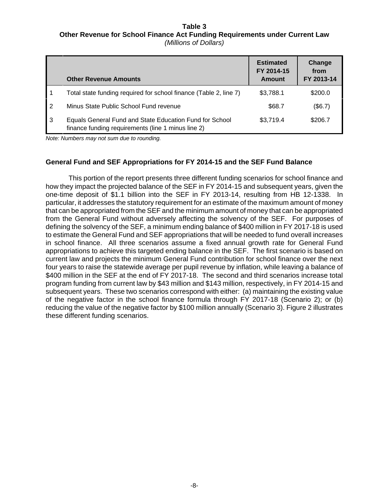#### **Table 3 Other Revenue for School Finance Act Funding Requirements under Current Law** *(Millions of Dollars)*

|                | <b>Other Revenue Amounts</b>                                                                                  | <b>Estimated</b><br>FY 2014-15<br>Amount | Change<br>from<br>FY 2013-14 |
|----------------|---------------------------------------------------------------------------------------------------------------|------------------------------------------|------------------------------|
| l 1            | Total state funding required for school finance (Table 2, line 7)                                             | \$3,788.1                                | \$200.0                      |
| $\overline{2}$ | Minus State Public School Fund revenue                                                                        | \$68.7                                   | (\$6.7)                      |
| l 3            | Equals General Fund and State Education Fund for School<br>finance funding requirements (line 1 minus line 2) | \$3,719.4                                | \$206.7                      |

*Note: Numbers may not sum due to rounding.*

## **General Fund and SEF Appropriations for FY 2014-15 and the SEF Fund Balance**

This portion of the report presents three different funding scenarios for school finance and how they impact the projected balance of the SEF in FY 2014-15 and subsequent years, given the one-time deposit of \$1.1 billion into the SEF in FY 2013-14, resulting from HB 12-1338. In particular, it addresses the statutory requirement for an estimate of the maximum amount of money that can be appropriated from the SEF and the minimum amount of money that can be appropriated from the General Fund without adversely affecting the solvency of the SEF. For purposes of defining the solvency of the SEF, a minimum ending balance of \$400 million in FY 2017-18 is used to estimate the General Fund and SEF appropriations that will be needed to fund overall increases in school finance. All three scenarios assume a fixed annual growth rate for General Fund appropriations to achieve this targeted ending balance in the SEF. The first scenario is based on current law and projects the minimum General Fund contribution for school finance over the next four years to raise the statewide average per pupil revenue by inflation, while leaving a balance of \$400 million in the SEF at the end of FY 2017-18. The second and third scenarios increase total program funding from current law by \$43 million and \$143 million, respectively, in FY 2014-15 and subsequent years. These two scenarios correspond with either: (a) maintaining the existing value of the negative factor in the school finance formula through FY 2017-18 (Scenario 2); or (b) reducing the value of the negative factor by \$100 million annually (Scenario 3). Figure 2 illustrates these different funding scenarios.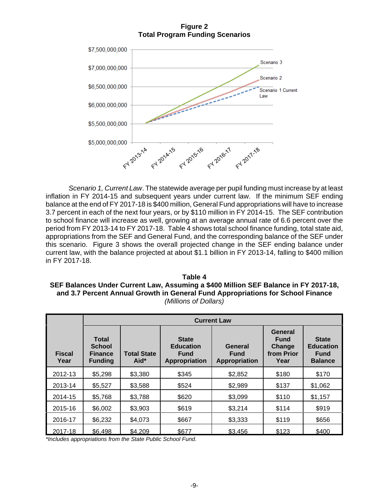**Figure 2 Total Program Funding Scenarios**



*Scenario 1, Current Law*. The statewide average per pupil funding must increase by at least inflation in FY 2014-15 and subsequent years under current law. If the minimum SEF ending balance at the end of FY 2017-18 is \$400 million, General Fund appropriations will have to increase 3.7 percent in each of the next four years, or by \$110 million in FY 2014-15. The SEF contribution to school finance will increase as well, growing at an average annual rate of 6.6 percent over the period from FY 2013-14 to FY 2017-18. Table 4 shows total school finance funding, total state aid, appropriations from the SEF and General Fund, and the corresponding balance of the SEF under this scenario. Figure 3 shows the overall projected change in the SEF ending balance under current law, with the balance projected at about \$1.1 billion in FY 2013-14, falling to \$400 million in FY 2017-18.

**Table 4 SEF Balances Under Current Law, Assuming a \$400 Million SEF Balance in FY 2017-18, and 3.7 Percent Annual Growth in General Fund Appropriations for School Finance** *(Millions of Dollars)*

|                       | <b>Current Law</b>                                                |                            |                                                                         |                                         |                                                        |                                                                   |  |  |
|-----------------------|-------------------------------------------------------------------|----------------------------|-------------------------------------------------------------------------|-----------------------------------------|--------------------------------------------------------|-------------------------------------------------------------------|--|--|
| <b>Fiscal</b><br>Year | <b>Total</b><br><b>School</b><br><b>Finance</b><br><b>Funding</b> | <b>Total State</b><br>Aid* | <b>State</b><br><b>Education</b><br><b>Fund</b><br><b>Appropriation</b> | General<br><b>Fund</b><br>Appropriation | General<br><b>Fund</b><br>Change<br>from Prior<br>Year | <b>State</b><br><b>Education</b><br><b>Fund</b><br><b>Balance</b> |  |  |
| 2012-13               | \$5,298                                                           | \$3,380                    | \$345                                                                   | \$2,852                                 | \$180                                                  | \$170                                                             |  |  |
| 2013-14               | \$5,527                                                           | \$3,588                    | \$524                                                                   | \$2,989                                 | \$137                                                  | \$1,062                                                           |  |  |
| 2014-15               | \$5,768                                                           | \$3,788                    | \$620                                                                   | \$3,099                                 | \$110                                                  | \$1,157                                                           |  |  |
| 2015-16               | \$6,002                                                           | \$3,903                    | \$619                                                                   | \$3,214                                 | \$114                                                  | \$919                                                             |  |  |
| 2016-17               | \$6,232                                                           | \$4,073                    | \$667                                                                   | \$3,333                                 | \$119                                                  | \$656                                                             |  |  |
| 2017-18               | \$6,498                                                           | \$4,209                    | \$677                                                                   | \$3,456                                 | \$123                                                  | \$400                                                             |  |  |

*\*Includes appropriations from the State Public School Fund.*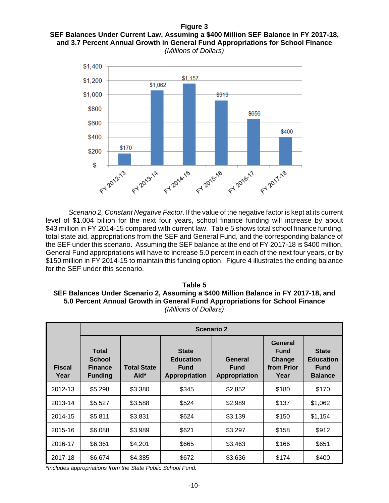### **Figure 3 SEF Balances Under Current Law, Assuming a \$400 Million SEF Balance in FY 2017-18, and 3.7 Percent Annual Growth in General Fund Appropriations for School Finance** *(Millions of Dollars)*



*Scenario 2, Constant Negative Factor*. If the value of the negative factor is kept at its current level of \$1.004 billion for the next four years, school finance funding will increase by about \$43 million in FY 2014-15 compared with current law. Table 5 shows total school finance funding, total state aid, appropriations from the SEF and General Fund, and the corresponding balance of the SEF under this scenario. Assuming the SEF balance at the end of FY 2017-18 is \$400 million, General Fund appropriations will have to increase 5.0 percent in each of the next four years, or by \$150 million in FY 2014-15 to maintain this funding option. Figure 4 illustrates the ending balance for the SEF under this scenario.

**Table 5 SEF Balances Under Scenario 2, Assuming a \$400 Million Balance in FY 2017-18, and 5.0 Percent Annual Growth in General Fund Appropriations for School Finance** *(Millions of Dollars)*

|                       | <b>Scenario 2</b>                                                 |                            |                                                                         |                                         |                                                        |                                                                   |  |  |  |
|-----------------------|-------------------------------------------------------------------|----------------------------|-------------------------------------------------------------------------|-----------------------------------------|--------------------------------------------------------|-------------------------------------------------------------------|--|--|--|
| <b>Fiscal</b><br>Year | <b>Total</b><br><b>School</b><br><b>Finance</b><br><b>Funding</b> | <b>Total State</b><br>Aid* | <b>State</b><br><b>Education</b><br><b>Fund</b><br><b>Appropriation</b> | General<br><b>Fund</b><br>Appropriation | General<br><b>Fund</b><br>Change<br>from Prior<br>Year | <b>State</b><br><b>Education</b><br><b>Fund</b><br><b>Balance</b> |  |  |  |
| 2012-13               | \$5,298                                                           | \$3,380                    | \$345                                                                   | \$2,852                                 | \$180                                                  | \$170                                                             |  |  |  |
| 2013-14               | \$5,527                                                           | \$3,588                    | \$524                                                                   | \$2,989                                 | \$137                                                  | \$1,062                                                           |  |  |  |
| 2014-15               | \$5,811                                                           | \$3,831                    | \$624                                                                   | \$3,139                                 | \$150                                                  | \$1,154                                                           |  |  |  |
| 2015-16               | \$6,088                                                           | \$3,989                    | \$621                                                                   | \$3,297                                 | \$158                                                  | \$912                                                             |  |  |  |
| 2016-17               | \$6,361                                                           | \$4,201                    | \$665                                                                   | \$3,463                                 | \$166                                                  | \$651                                                             |  |  |  |
| 2017-18               | \$6,674                                                           | \$4,385                    | \$672                                                                   | \$3,636                                 | \$174                                                  | \$400                                                             |  |  |  |

*\*Includes appropriations from the State Public School Fund.*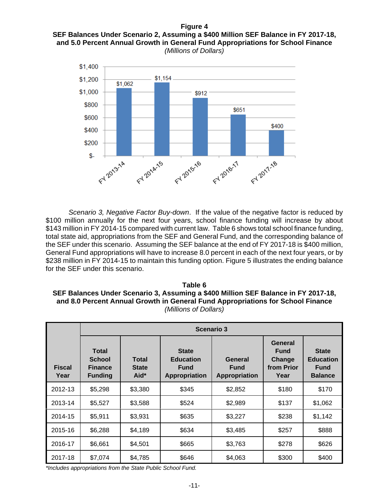### **Figure 4 SEF Balances Under Scenario 2, Assuming a \$400 Million SEF Balance in FY 2017-18, and 5.0 Percent Annual Growth in General Fund Appropriations for School Finance** *(Millions of Dollars)*



*Scenario 3, Negative Factor Buy-down*. If the value of the negative factor is reduced by \$100 million annually for the next four years, school finance funding will increase by about \$143 million in FY 2014-15 compared with current law. Table 6 shows total school finance funding, total state aid, appropriations from the SEF and General Fund, and the corresponding balance of the SEF under this scenario. Assuming the SEF balance at the end of FY 2017-18 is \$400 million, General Fund appropriations will have to increase 8.0 percent in each of the next four years, or by \$238 million in FY 2014-15 to maintain this funding option. Figure 5 illustrates the ending balance for the SEF under this scenario.

**Table 6 SEF Balances Under Scenario 3, Assuming a \$400 Million SEF Balance in FY 2017-18, and 8.0 Percent Annual Growth in General Fund Appropriations for School Finance** *(Millions of Dollars)*

|                       | <b>Scenario 3</b>                                                 |                                      |                                                                  |                                         |                                                        |                                                                   |  |  |  |
|-----------------------|-------------------------------------------------------------------|--------------------------------------|------------------------------------------------------------------|-----------------------------------------|--------------------------------------------------------|-------------------------------------------------------------------|--|--|--|
| <b>Fiscal</b><br>Year | <b>Total</b><br><b>School</b><br><b>Finance</b><br><b>Funding</b> | <b>Total</b><br><b>State</b><br>Aid* | <b>State</b><br><b>Education</b><br><b>Fund</b><br>Appropriation | General<br><b>Fund</b><br>Appropriation | General<br><b>Fund</b><br>Change<br>from Prior<br>Year | <b>State</b><br><b>Education</b><br><b>Fund</b><br><b>Balance</b> |  |  |  |
| 2012-13               | \$5,298                                                           | \$3,380                              | \$345                                                            | \$2,852                                 | \$180                                                  | \$170                                                             |  |  |  |
| 2013-14               | \$5,527                                                           | \$3,588                              | \$524                                                            | \$2,989                                 | \$137                                                  | \$1,062                                                           |  |  |  |
| 2014-15               | \$5,911                                                           | \$3,931                              | \$635                                                            | \$3,227                                 | \$238                                                  | \$1,142                                                           |  |  |  |
| 2015-16               | \$6,288                                                           | \$4,189                              | \$634                                                            | \$3,485                                 | \$257                                                  | \$888                                                             |  |  |  |
| 2016-17               | \$6,661                                                           | \$4,501                              | \$665                                                            | \$3,763                                 | \$278                                                  | \$626                                                             |  |  |  |
| 2017-18               | \$7,074                                                           | \$4,785                              | \$646                                                            | \$4,063                                 | \$300                                                  | \$400                                                             |  |  |  |

*\*Includes appropriations from the State Public School Fund.*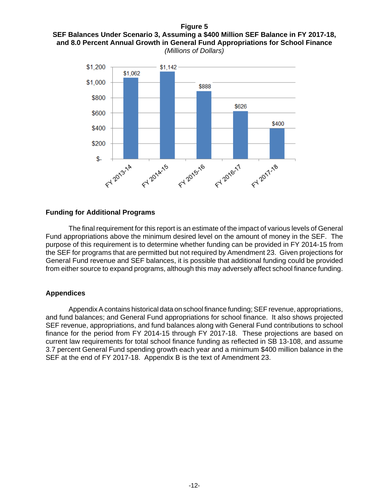### **Figure 5 SEF Balances Under Scenario 3, Assuming a \$400 Million SEF Balance in FY 2017-18, and 8.0 Percent Annual Growth in General Fund Appropriations for School Finance** *(Millions of Dollars)*



### **Funding for Additional Programs**

The final requirement for this report is an estimate of the impact of various levels of General Fund appropriations above the minimum desired level on the amount of money in the SEF. The purpose of this requirement is to determine whether funding can be provided in FY 2014-15 from the SEF for programs that are permitted but not required by Amendment 23. Given projections for General Fund revenue and SEF balances, it is possible that additional funding could be provided from either source to expand programs, although this may adversely affect school finance funding.

## **Appendices**

Appendix A contains historical data on school finance funding; SEF revenue, appropriations, and fund balances; and General Fund appropriations for school finance. It also shows projected SEF revenue, appropriations, and fund balances along with General Fund contributions to school finance for the period from FY 2014-15 through FY 2017-18. These projections are based on current law requirements for total school finance funding as reflected in SB 13-108, and assume 3.7 percent General Fund spending growth each year and a minimum \$400 million balance in the SEF at the end of FY 2017-18. Appendix B is the text of Amendment 23.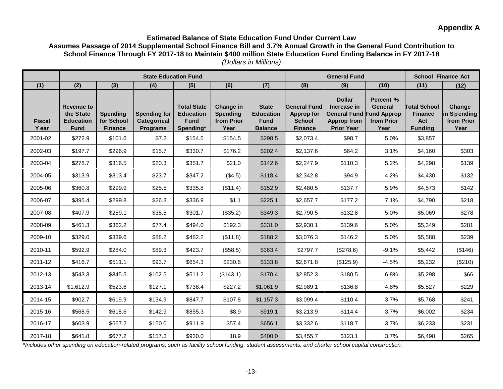# **Appendix A**

### **Estimated Balance of State Education Fund Under Current Law Assumes Passage of 2014 Supplemental School Finance Bill and 3.7% Annual Growth in the General Fund Contribution to School Finance Through FY 2017-18 to Maintain \$400 million State Education Fund Ending Balance in FY 2017-18** *(Dollars in Millions)*

|                        | <b>State Education Fund</b>                                       |                                                 |                                                       |                                                                    |                                                    |                                                                   |                                                                             | <b>General Fund</b>                                                                                        |                                            | <b>School Finance Act</b>                                      |                                             |
|------------------------|-------------------------------------------------------------------|-------------------------------------------------|-------------------------------------------------------|--------------------------------------------------------------------|----------------------------------------------------|-------------------------------------------------------------------|-----------------------------------------------------------------------------|------------------------------------------------------------------------------------------------------------|--------------------------------------------|----------------------------------------------------------------|---------------------------------------------|
| (1)                    | (2)                                                               | (3)                                             | (4)                                                   | (5)                                                                | (6)                                                | (7)                                                               | (8)                                                                         | (9)                                                                                                        | (10)                                       | (11)                                                           | (12)                                        |
| <b>Fiscal</b><br>Y ear | <b>Revenue to</b><br>the State<br><b>Education</b><br><b>Fund</b> | <b>Spending</b><br>for School<br><b>Finance</b> | <b>Spending for</b><br>Categorical<br><b>Programs</b> | <b>Total State</b><br><b>Education</b><br><b>Fund</b><br>Spending* | Change in<br><b>Spending</b><br>from Prior<br>Year | <b>State</b><br><b>Education</b><br><b>Fund</b><br><b>Balance</b> | <b>General Fund</b><br><b>Approp for</b><br><b>School</b><br><b>Finance</b> | <b>Dollar</b><br>Increase in<br><b>General Fund Fund Approp</b><br><b>Approp from</b><br><b>Prior Year</b> | Percent %<br>General<br>from Prior<br>Year | <b>Total School</b><br><b>Finance</b><br>Act<br><b>Funding</b> | Change<br>in Spending<br>from Prior<br>Year |
| 2001-02                | \$272.9                                                           | \$101.6                                         | \$7.2                                                 | \$154.5                                                            | \$154.5                                            | \$298.5                                                           | \$2,073.4                                                                   | \$98.7                                                                                                     | 5.0%                                       | \$3,857                                                        |                                             |
| 2002-03                | \$197.7                                                           | \$296.9                                         | \$15.7                                                | \$330.7                                                            | \$176.2                                            | \$202.4                                                           | \$2,137.6                                                                   | \$64.2                                                                                                     | 3.1%                                       | \$4,160                                                        | \$303                                       |
| 2003-04                | \$278.7                                                           | \$316.5                                         | \$20.3                                                | \$351.7                                                            | \$21.0                                             | \$142.6                                                           | \$2,247.9                                                                   | \$110.3                                                                                                    | 5.2%                                       | \$4,298                                                        | \$139                                       |
| 2004-05                | \$313.9                                                           | \$313.4                                         | \$23.7                                                | \$347.2                                                            | (\$4.5)                                            | \$118.4                                                           | \$2,342.8                                                                   | \$94.9                                                                                                     | 4.2%                                       | \$4,430                                                        | \$132                                       |
| 2005-06                | \$360.8                                                           | \$299.9                                         | \$25.5                                                | \$335.8                                                            | (\$11.4)                                           | \$152.9                                                           | \$2,480.5                                                                   | \$137.7                                                                                                    | 5.9%                                       | \$4,573                                                        | \$142                                       |
| 2006-07                | \$395.4                                                           | \$299.8                                         | \$26.3                                                | \$336.9                                                            | \$1.1                                              | \$225.1                                                           | \$2,657.7                                                                   | \$177.2                                                                                                    | 7.1%                                       | \$4,790                                                        | \$218                                       |
| 2007-08                | \$407.9                                                           | \$259.1                                         | \$35.5                                                | \$301.7                                                            | (\$35.2)                                           | \$349.3                                                           | \$2,790.5                                                                   | \$132.8                                                                                                    | 5.0%                                       | \$5,069                                                        | \$278                                       |
| 2008-09                | \$461.3                                                           | \$362.2                                         | \$77.4                                                | \$494.0                                                            | \$192.3                                            | \$331.0                                                           | \$2,930.1                                                                   | \$139.6                                                                                                    | 5.0%                                       | \$5,349                                                        | \$281                                       |
| 2009-10                | \$329.0                                                           | \$339.6                                         | \$88.2                                                | \$482.2                                                            | (\$11.8)                                           | \$188.2                                                           | \$3,076.3                                                                   | \$146.2                                                                                                    | 5.0%                                       | \$5,588                                                        | \$239                                       |
| 2010-11                | \$592.9                                                           | \$284.0                                         | \$89.3                                                | \$423.7                                                            | (\$58.5)                                           | \$363.4                                                           | \$2797.7                                                                    | (\$278.6)                                                                                                  | $-9.1%$                                    | \$5,442                                                        | (\$146)                                     |
| 2011-12                | \$416.7                                                           | \$511.1                                         | \$93.7                                                | \$654.3                                                            | \$230.6                                            | \$133.8                                                           | \$2,671.8                                                                   | (\$125.9)                                                                                                  | $-4.5%$                                    | \$5,232                                                        | (\$210)                                     |
| 2012-13                | \$543.3                                                           | \$345.5                                         | \$102.5                                               | \$511.2                                                            | (\$143.1)                                          | \$170.4                                                           | \$2,852.3                                                                   | \$180.5                                                                                                    | 6.8%                                       | \$5,298                                                        | \$66                                        |
| 2013-14                | \$1,612.9                                                         | \$523.6                                         | \$127.1                                               | \$738.4                                                            | \$227.2                                            | \$1,061.9                                                         | \$2,989.1                                                                   | \$136.8                                                                                                    | 4.8%                                       | \$5,527                                                        | \$229                                       |
| 2014-15                | \$902.7                                                           | \$619.9                                         | \$134.9                                               | \$847.7                                                            | \$107.8                                            | \$1,157.3                                                         | \$3,099.4                                                                   | \$110.4                                                                                                    | 3.7%                                       | \$5,768                                                        | \$241                                       |
| 2015-16                | \$568.5                                                           | \$618.6                                         | \$142.9                                               | \$855.3                                                            | \$8.9                                              | \$919.1                                                           | \$3,213.9                                                                   | \$114.4                                                                                                    | 3.7%                                       | \$6,002                                                        | \$234                                       |
| 2016-17                | \$603.9                                                           | \$667.2                                         | \$150.0                                               | \$911.9                                                            | \$57.4                                             | \$656.1                                                           | \$3,332.6                                                                   | \$118.7                                                                                                    | 3.7%                                       | \$6,233                                                        | \$231                                       |
| 2017-18                | \$641.8                                                           | \$677.2                                         | \$157.3                                               | \$930.0                                                            | 18.9                                               | \$400.0                                                           | \$3,455.7                                                                   | \$123.1                                                                                                    | 3.7%                                       | \$6,498                                                        | \$265                                       |

*\*Includes other spending on education-related programs, such as facility school funding, student assessments, and charter school capital construction.*